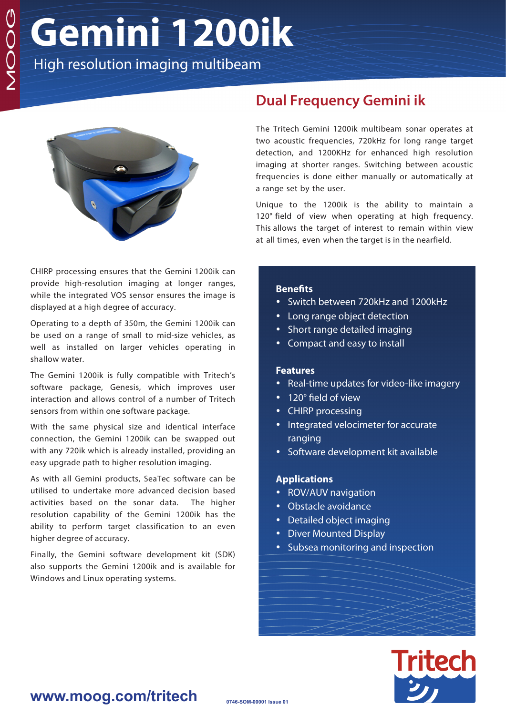# **Gemini 1200ik**

High resolution imaging multibeam



CHIRP processing ensures that the Gemini 1200ik can provide high-resolution imaging at longer ranges, while the integrated VOS sensor ensures the image is displayed at a high degree of accuracy.

Operating to a depth of 350m, the Gemini 1200ik can be used on a range of small to mid-size vehicles, as well as installed on larger vehicles operating in shallow water.

The Gemini 1200ik is fully compatible with Tritech's software package, Genesis, which improves user interaction and allows control of a number of Tritech sensors from within one software package.

With the same physical size and identical interface connection, the Gemini 1200ik can be swapped out with any 720ik which is already installed, providing an easy upgrade path to higher resolution imaging.

As with all Gemini products, SeaTec software can be utilised to undertake more advanced decision based activities based on the sonar data. The higher resolution capability of the Gemini 1200ik has the ability to perform target classification to an even higher degree of accuracy.

Finally, the Gemini software development kit (SDK) also supports the Gemini 1200ik and is available for Windows and Linux operating systems.

## **Dual Frequency Gemini ik**

The Tritech Gemini 1200ik multibeam sonar operates at two acoustic frequencies, 720kHz for long range target detection, and 1200KHz for enhanced high resolution imaging at shorter ranges. Switching between acoustic frequencies is done either manually or automatically at a range set by the user.

Unique to the 1200ik is the ability to maintain a 120° field of view when operating at high frequency. This allows the target of interest to remain within view at all times, even when the target is in the nearfield.

#### **Benefits**

- Switch between 720kHz and 1200kHz
- Long range object detection
- Short range detailed imaging
- Compact and easy to install

#### **Features**

- Real-time updates for video-like imagery
- 120° field of view
- CHIRP processing
- Integrated velocimeter for accurate ranging
- Software development kit available

#### **Applications**

- ROV/AUV navigation
- Obstacle avoidance
- Detailed object imaging
- Diver Mounted Display
- Subsea monitoring and inspection



### **www.moog.com/tritech**